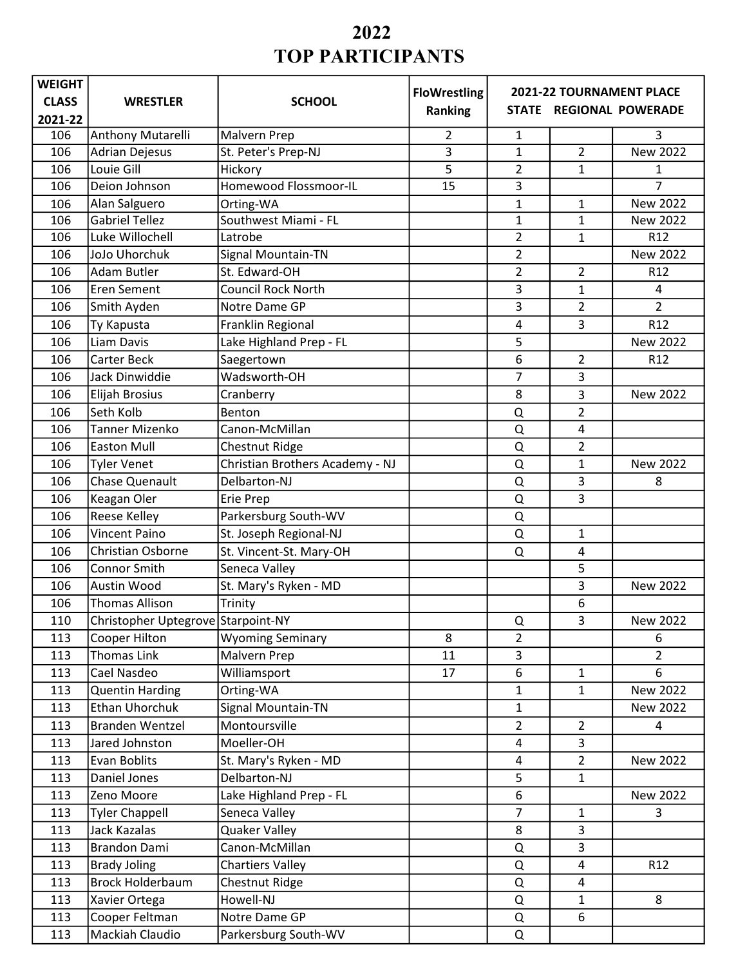| <b>WEIGHT</b> |                                    |                                 | <b>FloWrestling</b> |                |                | 2021-22 TOURNAMENT PLACE |
|---------------|------------------------------------|---------------------------------|---------------------|----------------|----------------|--------------------------|
| <b>CLASS</b>  | <b>WRESTLER</b>                    | <b>SCHOOL</b>                   | Ranking             |                |                | STATE REGIONAL POWERADE  |
| 2021-22       |                                    |                                 |                     |                |                |                          |
| 106           | Anthony Mutarelli                  | Malvern Prep                    | $\overline{2}$      | 1              |                | 3                        |
| 106           | <b>Adrian Dejesus</b>              | St. Peter's Prep-NJ             | 3                   | 1              | $\overline{2}$ | New 2022                 |
| 106           | Louie Gill                         | Hickory                         | 5                   | $\overline{2}$ | 1              | 1                        |
| 106           | Deion Johnson                      | Homewood Flossmoor-IL           | 15                  | 3              |                | 7                        |
| 106           | Alan Salguero                      | Orting-WA                       |                     | 1              | 1              | New 2022                 |
| 106           | <b>Gabriel Tellez</b>              | Southwest Miami - FL            |                     | $\mathbf{1}$   | $\mathbf{1}$   | New 2022                 |
| 106           | Luke Willochell                    | Latrobe                         |                     | $\overline{2}$ | 1              | R <sub>12</sub>          |
| 106           | JoJo Uhorchuk                      | Signal Mountain-TN              |                     | $\overline{2}$ |                | New 2022                 |
| 106           | <b>Adam Butler</b>                 | St. Edward-OH                   |                     | $\overline{2}$ | $\overline{2}$ | R <sub>12</sub>          |
| 106           | Eren Sement                        | <b>Council Rock North</b>       |                     | 3              | 1              | 4                        |
| 106           | Smith Ayden                        | Notre Dame GP                   |                     | 3              | 2              | $\overline{2}$           |
| 106           | Ty Kapusta                         | Franklin Regional               |                     | 4              | 3              | R12                      |
| 106           | Liam Davis                         | Lake Highland Prep - FL         |                     | 5              |                | <b>New 2022</b>          |
| 106           | <b>Carter Beck</b>                 | Saegertown                      |                     | 6              | 2              | R <sub>12</sub>          |
| 106           | Jack Dinwiddie                     | Wadsworth-OH                    |                     | $\overline{7}$ | 3              |                          |
| 106           | Elijah Brosius                     | Cranberry                       |                     | 8              | 3              | New 2022                 |
| 106           | Seth Kolb                          | Benton                          |                     | Q              | $\overline{2}$ |                          |
| 106           | <b>Tanner Mizenko</b>              | Canon-McMillan                  |                     | Q              | 4              |                          |
| 106           | <b>Easton Mull</b>                 | Chestnut Ridge                  |                     | Q              | $\overline{2}$ |                          |
| 106           | <b>Tyler Venet</b>                 | Christian Brothers Academy - NJ |                     | Q              | $\mathbf 1$    | New 2022                 |
| 106           | <b>Chase Quenault</b>              | Delbarton-NJ                    |                     | Q              | 3              | 8                        |
| 106           | Keagan Oler                        | Erie Prep                       |                     | $\Omega$       | 3              |                          |
| 106           | <b>Reese Kelley</b>                | Parkersburg South-WV            |                     | Q              |                |                          |
| 106           | <b>Vincent Paino</b>               | St. Joseph Regional-NJ          |                     | $\Omega$       | 1              |                          |
| 106           | Christian Osborne                  | St. Vincent-St. Mary-OH         |                     | Q              | $\overline{4}$ |                          |
| 106           | Connor Smith                       | Seneca Valley                   |                     |                | 5              |                          |
| 106           | Austin Wood                        | St. Mary's Ryken - MD           |                     |                | 3              | New 2022                 |
| 106           | <b>Thomas Allison</b>              | Trinity                         |                     |                | 6              |                          |
| 110           | Christopher Uptegrove Starpoint-NY |                                 |                     | Q              | 3              | New 2022                 |
| 113           | Cooper Hilton                      | <b>Wyoming Seminary</b>         | 8                   | $\overline{2}$ |                | 6                        |
| 113           | Thomas Link                        | Malvern Prep                    | 11                  | 3              |                | $\overline{2}$           |
| 113           | Cael Nasdeo                        | Williamsport                    | 17                  | 6              | $\mathbf{1}$   | 6                        |
| 113           | <b>Quentin Harding</b>             | Orting-WA                       |                     | $\mathbf{1}$   | $\mathbf{1}$   | New 2022                 |
| 113           | Ethan Uhorchuk                     | Signal Mountain-TN              |                     | $\mathbf{1}$   |                | New 2022                 |
| 113           | <b>Branden Wentzel</b>             | Montoursville                   |                     | $\overline{2}$ | $\overline{2}$ | 4                        |
| 113           | Jared Johnston                     | Moeller-OH                      |                     | 4              | 3              |                          |
| 113           | Evan Boblits                       | St. Mary's Ryken - MD           |                     | 4              | $\overline{2}$ | New 2022                 |
| 113           | Daniel Jones                       | Delbarton-NJ                    |                     | 5              | $\mathbf{1}$   |                          |
| 113           | Zeno Moore                         | Lake Highland Prep - FL         |                     | 6              |                | New 2022                 |
| 113           | <b>Tyler Chappell</b>              | Seneca Valley                   |                     | $\overline{7}$ | $\mathbf 1$    | 3                        |
| 113           | Jack Kazalas                       | <b>Quaker Valley</b>            |                     | 8              | 3              |                          |
| 113           | Brandon Dami                       | Canon-McMillan                  |                     | Q              | 3              |                          |
| 113           | <b>Brady Joling</b>                | <b>Chartiers Valley</b>         |                     | Q              | $\overline{4}$ | R <sub>12</sub>          |
| 113           | <b>Brock Holderbaum</b>            | Chestnut Ridge                  |                     | Q              | $\overline{4}$ |                          |
| 113           | Xavier Ortega                      | Howell-NJ                       |                     | Q              | $\mathbf{1}$   | 8                        |
| 113           | Cooper Feltman                     | Notre Dame GP                   |                     | Q              | 6              |                          |
| 113           | Mackiah Claudio                    | Parkersburg South-WV            |                     | Q              |                |                          |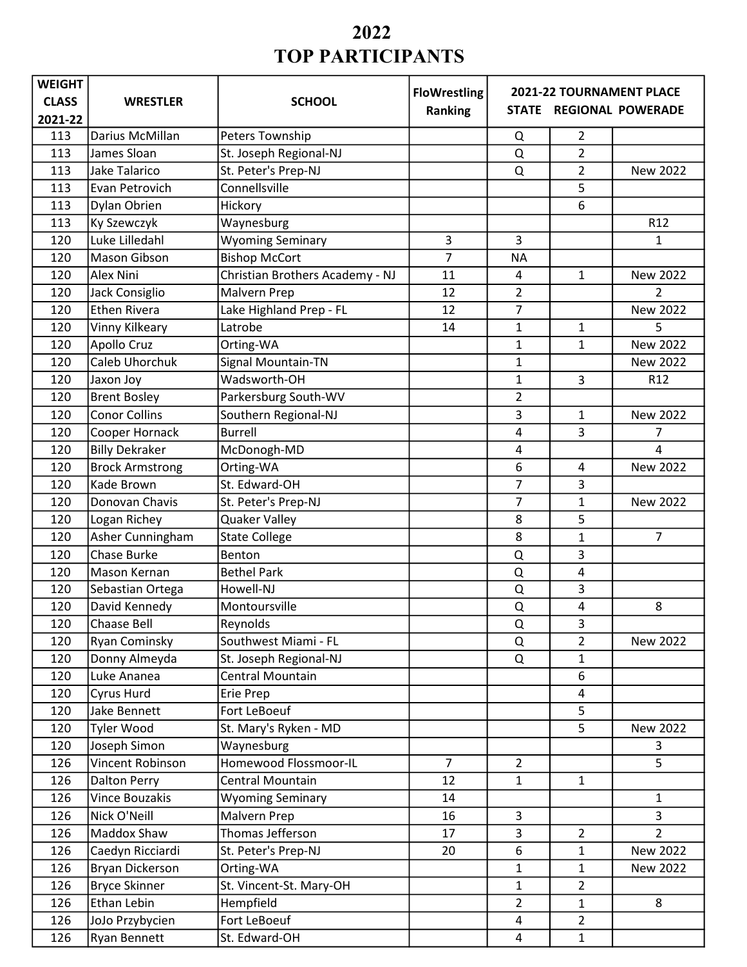| <b>WEIGHT</b> |                        |                                 | <b>FloWrestling</b> |                |                | 2021-22 TOURNAMENT PLACE |
|---------------|------------------------|---------------------------------|---------------------|----------------|----------------|--------------------------|
| <b>CLASS</b>  | <b>WRESTLER</b>        | <b>SCHOOL</b>                   | Ranking             |                |                | STATE REGIONAL POWERADE  |
| 2021-22       |                        |                                 |                     |                |                |                          |
| 113           | Darius McMillan        | Peters Township                 |                     | Q              | $\overline{2}$ |                          |
| 113           | James Sloan            | St. Joseph Regional-NJ          |                     | Q              | $\overline{2}$ |                          |
| 113           | Jake Talarico          | St. Peter's Prep-NJ             |                     | Q              | $\overline{2}$ | New 2022                 |
| 113           | Evan Petrovich         | Connellsville                   |                     |                | 5              |                          |
| 113           | Dylan Obrien           | Hickory                         |                     |                | 6              |                          |
| 113           | <b>Ky Szewczyk</b>     | Waynesburg                      |                     |                |                | R <sub>12</sub>          |
| 120           | Luke Lilledahl         | <b>Wyoming Seminary</b>         | 3                   | 3              |                | 1                        |
| 120           | <b>Mason Gibson</b>    | <b>Bishop McCort</b>            | $\overline{7}$      | <b>NA</b>      |                |                          |
| 120           | Alex Nini              | Christian Brothers Academy - NJ | 11                  | 4              | $\mathbf{1}$   | New 2022                 |
| 120           | Jack Consiglio         | Malvern Prep                    | 12                  | 2              |                | $\overline{2}$           |
| 120           | <b>Ethen Rivera</b>    | Lake Highland Prep - FL         | 12                  | $\overline{7}$ |                | New 2022                 |
| 120           | Vinny Kilkeary         | Latrobe                         | 14                  | 1              | 1              | 5                        |
| 120           | <b>Apollo Cruz</b>     | Orting-WA                       |                     | $\mathbf{1}$   | $\mathbf{1}$   | New 2022                 |
| 120           | Caleb Uhorchuk         | Signal Mountain-TN              |                     | 1              |                | New 2022                 |
| 120           | Jaxon Joy              | Wadsworth-OH                    |                     | $\mathbf{1}$   | 3              | R <sub>12</sub>          |
| 120           | <b>Brent Bosley</b>    | Parkersburg South-WV            |                     | $\overline{2}$ |                |                          |
| 120           | <b>Conor Collins</b>   | Southern Regional-NJ            |                     | 3              | $\mathbf{1}$   | New 2022                 |
| 120           | Cooper Hornack         | <b>Burrell</b>                  |                     | 4              | 3              | 7                        |
| 120           | <b>Billy Dekraker</b>  | McDonogh-MD                     |                     | 4              |                | 4                        |
| 120           | <b>Brock Armstrong</b> | Orting-WA                       |                     | 6              | 4              | New 2022                 |
| 120           | Kade Brown             | St. Edward-OH                   |                     | 7              | 3              |                          |
| 120           | Donovan Chavis         | St. Peter's Prep-NJ             |                     | 7              | 1              | New 2022                 |
| 120           | Logan Richey           | <b>Quaker Valley</b>            |                     | 8              | 5              |                          |
| 120           | Asher Cunningham       | <b>State College</b>            |                     | 8              | 1              | $\overline{7}$           |
| 120           | Chase Burke            | Benton                          |                     | Q              | 3              |                          |
| 120           | Mason Kernan           | <b>Bethel Park</b>              |                     | Q              | 4              |                          |
| 120           | Sebastian Ortega       | Howell-NJ                       |                     | Q              | 3              |                          |
| 120           | David Kennedy          | Montoursville                   |                     | Q              | 4              | 8                        |
| 120           | Chaase Bell            | Reynolds                        |                     | Q              | 3              |                          |
| 120           | Ryan Cominsky          | Southwest Miami - FL            |                     | Q              | $\overline{2}$ | New 2022                 |
| 120           | Donny Almeyda          | St. Joseph Regional-NJ          |                     | Q              | $\mathbf{1}$   |                          |
| 120           | Luke Ananea            | <b>Central Mountain</b>         |                     |                | 6              |                          |
| 120           | Cyrus Hurd             | Erie Prep                       |                     |                | 4              |                          |
| 120           | Jake Bennett           | Fort LeBoeuf                    |                     |                | 5              |                          |
| 120           | Tyler Wood             | St. Mary's Ryken - MD           |                     |                | 5              | New 2022                 |
| 120           | Joseph Simon           | Waynesburg                      |                     |                |                | 3                        |
| 126           | Vincent Robinson       | Homewood Flossmoor-IL           | $\overline{7}$      | $\overline{2}$ |                | 5                        |
| 126           | <b>Dalton Perry</b>    | Central Mountain                | 12                  | $\mathbf{1}$   | $\mathbf{1}$   |                          |
| 126           | Vince Bouzakis         | <b>Wyoming Seminary</b>         | 14                  |                |                | $\mathbf{1}$             |
| 126           | Nick O'Neill           | Malvern Prep                    | 16                  | 3              |                | 3                        |
| 126           | Maddox Shaw            | Thomas Jefferson                | 17                  | 3              | $\overline{2}$ | $\overline{2}$           |
| 126           | Caedyn Ricciardi       | St. Peter's Prep-NJ             | 20                  | 6              | $\mathbf{1}$   | New 2022                 |
| 126           | Bryan Dickerson        | Orting-WA                       |                     | $\mathbf{1}$   | $\mathbf{1}$   | New 2022                 |
| 126           | <b>Bryce Skinner</b>   | St. Vincent-St. Mary-OH         |                     | $\mathbf{1}$   | $\overline{2}$ |                          |
| 126           | Ethan Lebin            | Hempfield                       |                     | $\overline{2}$ | $\mathbf{1}$   | 8                        |
| 126           | JoJo Przybycien        | Fort LeBoeuf                    |                     | 4              | $\overline{2}$ |                          |
| 126           | Ryan Bennett           | St. Edward-OH                   |                     | 4              | $\mathbf{1}$   |                          |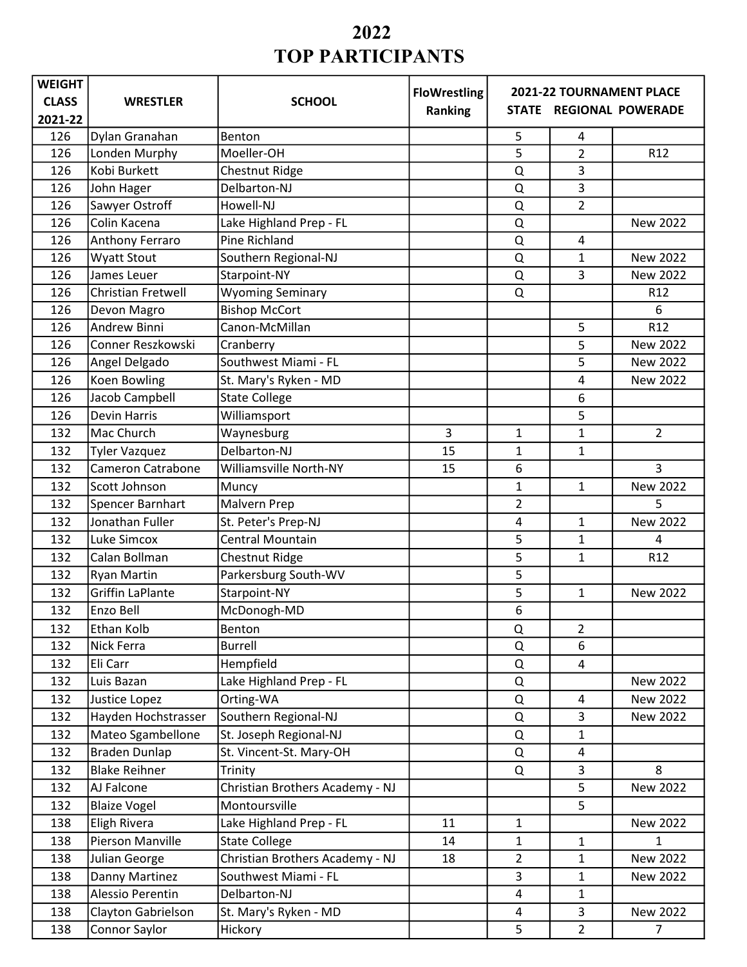| <b>WEIGHT</b> | <b>FloWrestling</b><br>2021-22 TOURNAMENT PLACE |                                 |                |                         |                |                 |
|---------------|-------------------------------------------------|---------------------------------|----------------|-------------------------|----------------|-----------------|
| <b>CLASS</b>  | <b>WRESTLER</b>                                 | <b>SCHOOL</b>                   | Ranking        | STATE REGIONAL POWERADE |                |                 |
| 2021-22       |                                                 |                                 |                |                         |                |                 |
| 126           | Dylan Granahan                                  | Benton                          |                | 5                       | 4              |                 |
| 126           | Londen Murphy                                   | Moeller-OH                      |                | 5                       | $\overline{2}$ | R12             |
| 126           | Kobi Burkett                                    | Chestnut Ridge                  |                | Q                       | 3              |                 |
| 126           | John Hager                                      | Delbarton-NJ                    |                | Q                       | 3              |                 |
| 126           | Sawyer Ostroff                                  | Howell-NJ                       |                | Q                       | $\overline{2}$ |                 |
| 126           | Colin Kacena                                    | Lake Highland Prep - FL         |                | Q                       |                | New 2022        |
| 126           | Anthony Ferraro                                 | Pine Richland                   |                | Q                       | 4              |                 |
| 126           | <b>Wyatt Stout</b>                              | Southern Regional-NJ            |                | $\Omega$                | $\mathbf{1}$   | New 2022        |
| 126           | James Leuer                                     | Starpoint-NY                    |                | Q                       | 3              | New 2022        |
| 126           | Christian Fretwell                              | <b>Wyoming Seminary</b>         |                | Q                       |                | R12             |
| 126           | Devon Magro                                     | <b>Bishop McCort</b>            |                |                         |                | 6               |
| 126           | <b>Andrew Binni</b>                             | Canon-McMillan                  |                |                         | 5              | R12             |
| 126           | Conner Reszkowski                               | Cranberry                       |                |                         | 5              | <b>New 2022</b> |
| 126           | Angel Delgado                                   | Southwest Miami - FL            |                |                         | 5              | New 2022        |
| 126           | Koen Bowling                                    | St. Mary's Ryken - MD           |                |                         | 4              | <b>New 2022</b> |
| 126           | Jacob Campbell                                  | <b>State College</b>            |                |                         | 6              |                 |
| 126           | <b>Devin Harris</b>                             | Williamsport                    |                |                         | 5              |                 |
| 132           | Mac Church                                      | Waynesburg                      | $\overline{3}$ | $\mathbf 1$             | $\mathbf{1}$   | $\overline{2}$  |
| 132           | <b>Tyler Vazquez</b>                            | Delbarton-NJ                    | 15             | 1                       | 1              |                 |
| 132           | <b>Cameron Catrabone</b>                        | <b>Williamsville North-NY</b>   | 15             | 6                       |                | 3               |
| 132           | Scott Johnson                                   | Muncy                           |                | 1                       | $\mathbf{1}$   | New 2022        |
| 132           | Spencer Barnhart                                | Malvern Prep                    |                | $\overline{2}$          |                | 5               |
| 132           | Jonathan Fuller                                 | St. Peter's Prep-NJ             |                | 4                       | $\mathbf{1}$   | <b>New 2022</b> |
| 132           | Luke Simcox                                     | <b>Central Mountain</b>         |                | 5                       | $\mathbf{1}$   | 4               |
| 132           | Calan Bollman                                   | Chestnut Ridge                  |                | 5                       | $\mathbf{1}$   | R12             |
| 132           | <b>Ryan Martin</b>                              | Parkersburg South-WV            |                | 5                       |                |                 |
| 132           | <b>Griffin LaPlante</b>                         | Starpoint-NY                    |                | 5                       | $\mathbf{1}$   | New 2022        |
| 132           | Enzo Bell                                       | McDonogh-MD                     |                | 6                       |                |                 |
| 132           | Ethan Kolb                                      | Benton                          |                | Q                       | $\overline{2}$ |                 |
| 132           | Nick Ferra                                      | <b>Burrell</b>                  |                | Q                       | 6              |                 |
| 132           | Eli Carr                                        | Hempfield                       |                | Q                       | $\overline{4}$ |                 |
| 132           | Luis Bazan                                      | Lake Highland Prep - FL         |                | Q                       |                | New 2022        |
| 132           | Justice Lopez                                   | Orting-WA                       |                | Q                       | 4              | New 2022        |
| 132           | Hayden Hochstrasser                             | Southern Regional-NJ            |                | Q                       | 3              | New 2022        |
| 132           | Mateo Sgambellone                               | St. Joseph Regional-NJ          |                | Q                       | $\mathbf{1}$   |                 |
| 132           | <b>Braden Dunlap</b>                            | St. Vincent-St. Mary-OH         |                | Q                       | 4              |                 |
| 132           | <b>Blake Reihner</b>                            | Trinity                         |                | Q                       | $\overline{3}$ | 8               |
| 132           | AJ Falcone                                      | Christian Brothers Academy - NJ |                |                         | 5              | New 2022        |
| 132           | <b>Blaize Vogel</b>                             | Montoursville                   |                |                         | 5              |                 |
| 138           | Eligh Rivera                                    | Lake Highland Prep - FL         | 11             | $\mathbf{1}$            |                | New 2022        |
| 138           | Pierson Manville                                | <b>State College</b>            | 14             | $\mathbf{1}$            | $\mathbf{1}$   | 1               |
| 138           | Julian George                                   | Christian Brothers Academy - NJ | 18             | $\overline{2}$          | $\mathbf{1}$   | New 2022        |
| 138           | Danny Martinez                                  | Southwest Miami - FL            |                | 3                       | $\mathbf{1}$   | New 2022        |
| 138           | Alessio Perentin                                | Delbarton-NJ                    |                | 4                       | $\mathbf{1}$   |                 |
| 138           | Clayton Gabrielson                              | St. Mary's Ryken - MD           |                | $\overline{\mathbf{4}}$ | $\mathsf{3}$   | New 2022        |
| 138           | Connor Saylor                                   | Hickory                         |                | 5                       | $\overline{2}$ | $\overline{7}$  |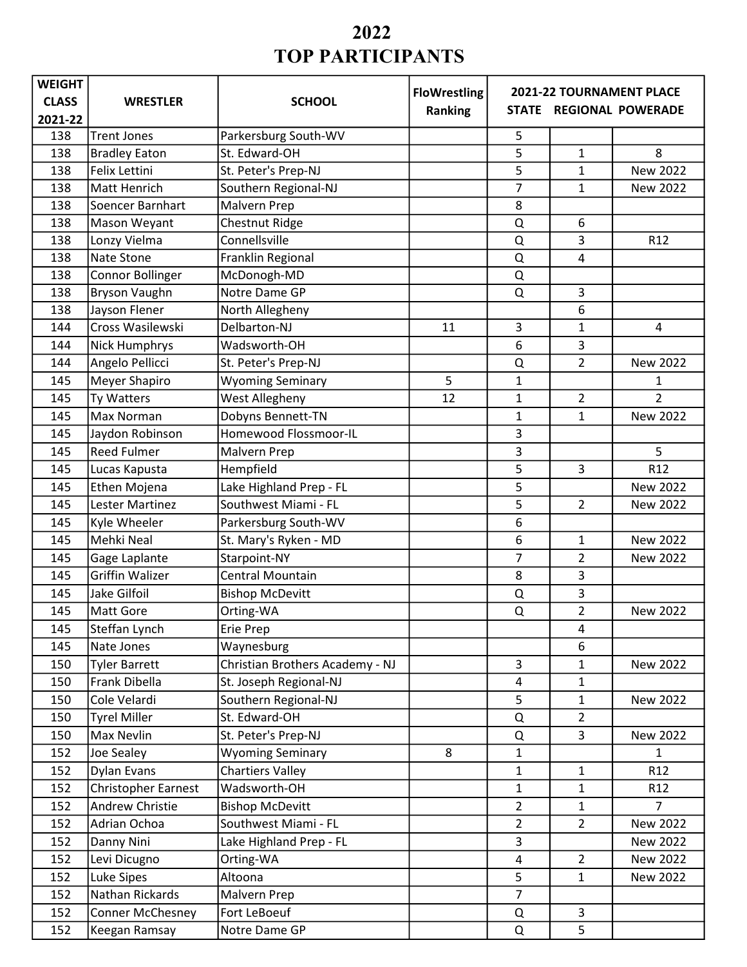| <b>WEIGHT</b> | <b>FloWrestling</b><br>2021-22 TOURNAMENT PLACE |                                 |         |                |                |                         |
|---------------|-------------------------------------------------|---------------------------------|---------|----------------|----------------|-------------------------|
| <b>CLASS</b>  | <b>WRESTLER</b>                                 | <b>SCHOOL</b>                   | Ranking |                |                | STATE REGIONAL POWERADE |
| 2021-22       |                                                 |                                 |         |                |                |                         |
| 138           | <b>Trent Jones</b>                              | Parkersburg South-WV            |         | 5              |                |                         |
| 138           | <b>Bradley Eaton</b>                            | St. Edward-OH                   |         | 5              | $\mathbf{1}$   | 8                       |
| 138           | Felix Lettini                                   | St. Peter's Prep-NJ             |         | 5              | $\mathbf{1}$   | <b>New 2022</b>         |
| 138           | Matt Henrich                                    | Southern Regional-NJ            |         | 7              | $\mathbf{1}$   | New 2022                |
| 138           | Soencer Barnhart                                | Malvern Prep                    |         | 8              |                |                         |
| 138           | Mason Weyant                                    | Chestnut Ridge                  |         | Q              | 6              |                         |
| 138           | Lonzy Vielma                                    | Connellsville                   |         | Q              | 3              | R12                     |
| 138           | Nate Stone                                      | Franklin Regional               |         | $\Omega$       | $\overline{4}$ |                         |
| 138           | Connor Bollinger                                | McDonogh-MD                     |         | Q              |                |                         |
| 138           | <b>Bryson Vaughn</b>                            | Notre Dame GP                   |         | $\Omega$       | 3              |                         |
| 138           | Jayson Flener                                   | North Allegheny                 |         |                | 6              |                         |
| 144           | Cross Wasilewski                                | Delbarton-NJ                    | 11      | 3              | $\mathbf{1}$   | 4                       |
| 144           | <b>Nick Humphrys</b>                            | Wadsworth-OH                    |         | 6              | $\overline{3}$ |                         |
| 144           | Angelo Pellicci                                 | St. Peter's Prep-NJ             |         | Q              | $\overline{2}$ | New 2022                |
| 145           | Meyer Shapiro                                   | <b>Wyoming Seminary</b>         | 5       | $\mathbf{1}$   |                | 1                       |
| 145           | Ty Watters                                      | West Allegheny                  | 12      | 1              | $\overline{2}$ | $\overline{2}$          |
| 145           | Max Norman                                      | Dobyns Bennett-TN               |         | 1              | $\mathbf{1}$   | <b>New 2022</b>         |
| 145           | Jaydon Robinson                                 | Homewood Flossmoor-IL           |         | 3              |                |                         |
| 145           | <b>Reed Fulmer</b>                              | Malvern Prep                    |         | 3              |                | 5                       |
| 145           | Lucas Kapusta                                   | Hempfield                       |         | 5              | 3              | R12                     |
| 145           | Ethen Mojena                                    | Lake Highland Prep - FL         |         | 5              |                | New 2022                |
| 145           | Lester Martinez                                 | Southwest Miami - FL            |         | 5              | $\overline{2}$ | New 2022                |
| 145           | Kyle Wheeler                                    | Parkersburg South-WV            |         | 6              |                |                         |
| 145           | Mehki Neal                                      | St. Mary's Ryken - MD           |         | 6              | $\mathbf{1}$   | New 2022                |
| 145           | Gage Laplante                                   | Starpoint-NY                    |         | $\overline{7}$ | $\overline{2}$ | New 2022                |
| 145           | <b>Griffin Walizer</b>                          | <b>Central Mountain</b>         |         | 8              | 3              |                         |
| 145           | Jake Gilfoil                                    | <b>Bishop McDevitt</b>          |         | Q              | 3              |                         |
| 145           | <b>Matt Gore</b>                                | Orting-WA                       |         | Q              | $\overline{2}$ | New 2022                |
| 145           | Steffan Lynch                                   | Erie Prep                       |         |                | 4              |                         |
| 145           | Nate Jones                                      | Waynesburg                      |         |                | 6              |                         |
| 150           | <b>Tyler Barrett</b>                            | Christian Brothers Academy - NJ |         | 3              | $\mathbf{1}$   | New 2022                |
| 150           | Frank Dibella                                   | St. Joseph Regional-NJ          |         | 4              | $\mathbf 1$    |                         |
| 150           | Cole Velardi                                    | Southern Regional-NJ            |         | 5              | $\mathbf{1}$   | New 2022                |
| 150           | <b>Tyrel Miller</b>                             | St. Edward-OH                   |         | Q              | $\overline{2}$ |                         |
| 150           | Max Nevlin                                      | St. Peter's Prep-NJ             |         | Q              | $\overline{3}$ | New 2022                |
| 152           | Joe Sealey                                      | <b>Wyoming Seminary</b>         | 8       | $\mathbf{1}$   |                | 1                       |
| 152           | <b>Dylan Evans</b>                              | <b>Chartiers Valley</b>         |         | $\mathbf{1}$   | $\mathbf{1}$   | R <sub>12</sub>         |
| 152           | <b>Christopher Earnest</b>                      | Wadsworth-OH                    |         | $\mathbf{1}$   | $\mathbf{1}$   | R <sub>12</sub>         |
| 152           | Andrew Christie                                 | <b>Bishop McDevitt</b>          |         | $\overline{2}$ | $\mathbf{1}$   | $\overline{7}$          |
| 152           | Adrian Ochoa                                    | Southwest Miami - FL            |         | $\overline{2}$ | $\overline{2}$ | <b>New 2022</b>         |
| 152           | Danny Nini                                      | Lake Highland Prep - FL         |         | 3              |                | New 2022                |
| 152           | Levi Dicugno                                    | Orting-WA                       |         | 4              | $\overline{2}$ | New 2022                |
| 152           | Luke Sipes                                      | Altoona                         |         | 5              | $\mathbf{1}$   | New 2022                |
| 152           | Nathan Rickards                                 | Malvern Prep                    |         | $\overline{7}$ |                |                         |
| 152           | Conner McChesney                                | Fort LeBoeuf                    |         | Q              | 3              |                         |
| 152           | Keegan Ramsay                                   | Notre Dame GP                   |         | Q              | 5              |                         |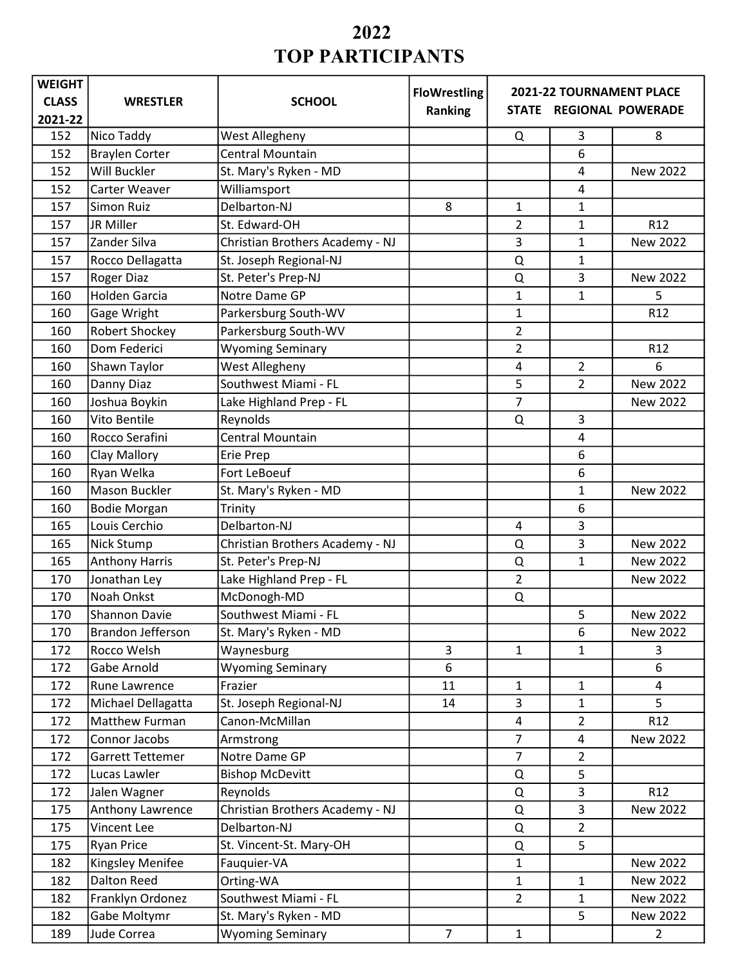| <b>WEIGHT</b> |                          |                                 | <b>FloWrestling</b> |                                                     |                |                 |
|---------------|--------------------------|---------------------------------|---------------------|-----------------------------------------------------|----------------|-----------------|
| <b>CLASS</b>  | <b>WRESTLER</b>          | <b>SCHOOL</b>                   | Ranking             | 2021-22 TOURNAMENT PLACE<br>STATE REGIONAL POWERADE |                |                 |
| 2021-22       |                          |                                 |                     |                                                     |                |                 |
| 152           | Nico Taddy               | West Allegheny                  |                     | Q                                                   | 3              | 8               |
| 152           | <b>Braylen Corter</b>    | <b>Central Mountain</b>         |                     |                                                     | 6              |                 |
| 152           | Will Buckler             | St. Mary's Ryken - MD           |                     |                                                     | 4              | New 2022        |
| 152           | Carter Weaver            | Williamsport                    |                     |                                                     | 4              |                 |
| 157           | <b>Simon Ruiz</b>        | Delbarton-NJ                    | 8                   | 1                                                   | 1              |                 |
| 157           | JR Miller                | St. Edward-OH                   |                     | 2                                                   | 1              | R12             |
| 157           | Zander Silva             | Christian Brothers Academy - NJ |                     | 3                                                   | $\mathbf{1}$   | New 2022        |
| 157           | Rocco Dellagatta         | St. Joseph Regional-NJ          |                     | Q                                                   | 1              |                 |
| 157           | <b>Roger Diaz</b>        | St. Peter's Prep-NJ             |                     | $\Omega$                                            | 3              | New 2022        |
| 160           | <b>Holden Garcia</b>     | Notre Dame GP                   |                     | 1                                                   | 1              | 5               |
| 160           | Gage Wright              | Parkersburg South-WV            |                     | 1                                                   |                | R <sub>12</sub> |
| 160           | <b>Robert Shockey</b>    | Parkersburg South-WV            |                     | $\overline{2}$                                      |                |                 |
| 160           | Dom Federici             | <b>Wyoming Seminary</b>         |                     | $\overline{2}$                                      |                | R <sub>12</sub> |
| 160           | Shawn Taylor             | West Allegheny                  |                     | 4                                                   | $\overline{2}$ | 6               |
| 160           | Danny Diaz               | Southwest Miami - FL            |                     | 5                                                   | $\overline{2}$ | <b>New 2022</b> |
| 160           | Joshua Boykin            | Lake Highland Prep - FL         |                     | 7                                                   |                | New 2022        |
| 160           | <b>Vito Bentile</b>      | Reynolds                        |                     | Q                                                   | 3              |                 |
| 160           | Rocco Serafini           | <b>Central Mountain</b>         |                     |                                                     | 4              |                 |
| 160           | Clay Mallory             | <b>Erie Prep</b>                |                     |                                                     | 6              |                 |
| 160           | Ryan Welka               | Fort LeBoeuf                    |                     |                                                     | 6              |                 |
| 160           | <b>Mason Buckler</b>     | St. Mary's Ryken - MD           |                     |                                                     | 1              | New 2022        |
| 160           | <b>Bodie Morgan</b>      | Trinity                         |                     |                                                     | 6              |                 |
| 165           | Louis Cerchio            | Delbarton-NJ                    |                     | 4                                                   | 3              |                 |
| 165           | Nick Stump               | Christian Brothers Academy - NJ |                     | Q                                                   | 3              | New 2022        |
| 165           | <b>Anthony Harris</b>    | St. Peter's Prep-NJ             |                     | Q                                                   | 1              | New 2022        |
| 170           | Jonathan Ley             | Lake Highland Prep - FL         |                     | $\overline{2}$                                      |                | New 2022        |
| 170           | Noah Onkst               | McDonogh-MD                     |                     | Q                                                   |                |                 |
| 170           | <b>Shannon Davie</b>     | Southwest Miami - FL            |                     |                                                     | 5              | New 2022        |
| 170           | <b>Brandon Jefferson</b> | St. Mary's Ryken - MD           |                     |                                                     | 6              | New 2022        |
| 172           | Rocco Welsh              | Waynesburg                      | 3                   | $\mathbf{1}$                                        | 1              | 3               |
| 172           | Gabe Arnold              | <b>Wyoming Seminary</b>         | 6                   |                                                     |                | 6               |
| 172           | Rune Lawrence            | Frazier                         | 11                  | $\mathbf{1}$                                        | $\mathbf{1}$   | $\overline{4}$  |
| 172           | Michael Dellagatta       | St. Joseph Regional-NJ          | 14                  | 3                                                   | $\mathbf{1}$   | 5               |
| 172           | Matthew Furman           | Canon-McMillan                  |                     | $\overline{\mathbf{4}}$                             | $\overline{2}$ | R <sub>12</sub> |
| 172           | Connor Jacobs            | Armstrong                       |                     | $\overline{7}$                                      | $\overline{a}$ | New 2022        |
| 172           | Garrett Tettemer         | Notre Dame GP                   |                     | $\overline{7}$                                      | $\overline{2}$ |                 |
| 172           | Lucas Lawler             | <b>Bishop McDevitt</b>          |                     | Q                                                   | 5              |                 |
| 172           | Jalen Wagner             | Reynolds                        |                     | Q                                                   | $\overline{3}$ | R12             |
| 175           | Anthony Lawrence         | Christian Brothers Academy - NJ |                     | Q                                                   | 3              | New 2022        |
| 175           | Vincent Lee              | Delbarton-NJ                    |                     | Q                                                   | $\overline{2}$ |                 |
| 175           | <b>Ryan Price</b>        | St. Vincent-St. Mary-OH         |                     | Q                                                   | 5              |                 |
| 182           | Kingsley Menifee         | Fauquier-VA                     |                     | $\mathbf{1}$                                        |                | New 2022        |
| 182           | <b>Dalton Reed</b>       | Orting-WA                       |                     | $\mathbf{1}$                                        | $\mathbf{1}$   | New 2022        |
| 182           | Franklyn Ordonez         | Southwest Miami - FL            |                     | $\overline{2}$                                      | $\mathbf{1}$   | New 2022        |
| 182           | Gabe Moltymr             | St. Mary's Ryken - MD           |                     |                                                     | 5 <sup>1</sup> | New 2022        |
| 189           | Jude Correa              | <b>Wyoming Seminary</b>         | $\overline{7}$      | $\mathbf{1}$                                        |                | $\overline{2}$  |